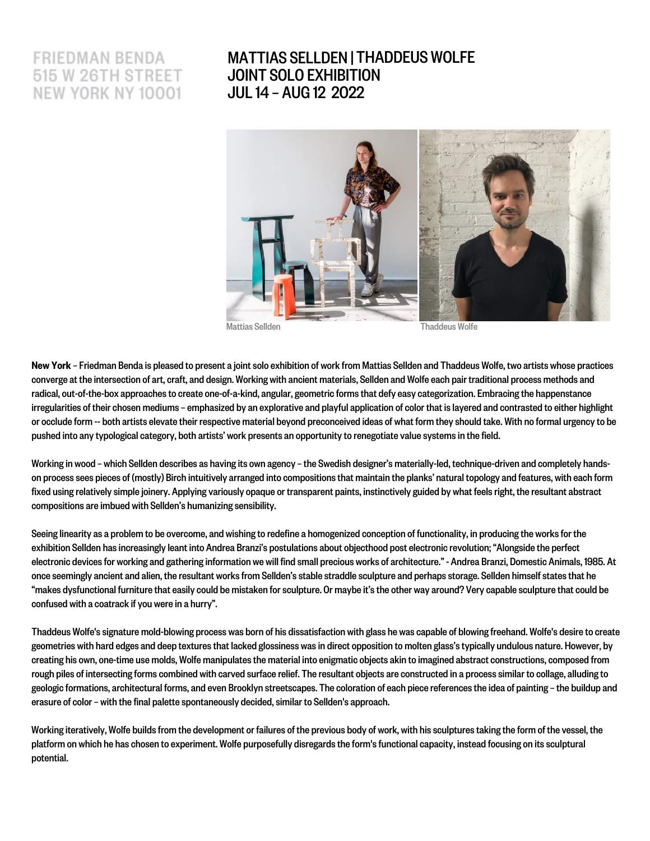# FRIEDMAN BENDA 515 W 26TH STREET NEW YORK NY 10001

## MATTIAS SELLDEN | THADDEUS WOLFEJOINT SOLO EXHIBITION JUL 14 – AUG 12 2022



New York - Friedman Benda is pleased to present a joint solo exhibition of work from Mattias Sellden and Thaddeus Wolfe, two artists whose practices convergeat the intersection of art, craft, and design. Working with ancient materials, Sellden and Wolfe each pair traditional process methods and radical, out-of-the-box approaches to create one-of-a-kind, angular, geometric forms that defy easy categorization. Embracing the happenstance irregularities of their chosen mediums - emphasized by an explorative and playful application of color that is layered and contrasted to either highlight or occlude form -- both artists elevate their respective material beyond preconceived ideas of what form they should take. With no formal urgency to be pushed into any typological category, both artists' work presents an opportunity to renegotiate value systems in the field.

Working in wood - which Sellden describes as having its own agency - the Swedish designer's materially-led, technique-driven and completely handson process sees pieces of (mostly) Birch intuitively arranged into compositions that maintain the planks' natural topology and features, with each form fixed using relatively simple joinery. Applying variously opaque or transparent paints, instinctively guided by what feels right, the resultant abstract compositions are imbued with Sellden's humanizing sensibility.

Seeing linearity as a problem to be overcome, and wishing to redefine a homogenized conception of functionality, in producing the works for the exhibition Sellden has increasingly leant into Andrea Branzi's postulations about objecthood post electronic revolution; "Alongside the perfect electronic devices for working and gathering information we will find small precious works of architecture." - Andrea Branzi, Domestic Animals, 1985. At once seemingly ancient and alien, the resultant works from Sellden's stable straddle sculpture and perhaps storage. Sellden himself states that he "makes dysfunctional furniture that easily could be mistaken for sculpture. Or maybe it's the other way around? Very capable sculpture that could be confused with a coatrack if you were in a hurry".

Thaddeus Wolfe's signature mold-blowing process was born of his dissatisfaction with glass he was capable of blowing freehand. Wolfe's desire to create geometries with hard edges and deep textures that lacked glossiness was in direct opposition to molten glass's typically undulous nature. However, by creating his own, one-time use molds, Wolfe manipulates the material into enigmatic objects akin to imagined abstract constructions, composed from rough piles of intersecting forms combined with carved surface relief. The resultant objects are constructed in a process similar to collage, alluding to geologic formations, architectural forms, and even Brooklyn streetscapes. The coloration of each piecereferencesthe idea of painting –the buildup and erasure of color – with the final palette spontaneously decided, similar to Sellden's approach.

Working iteratively, Wolfe builds from the development or failures of the previous body of work, with his sculptures taking the form of the vessel, the platform on which he has chosen to experiment.Wolfe purposefully disregards the form's functional capacity, instead focusing on its sculptural potential.